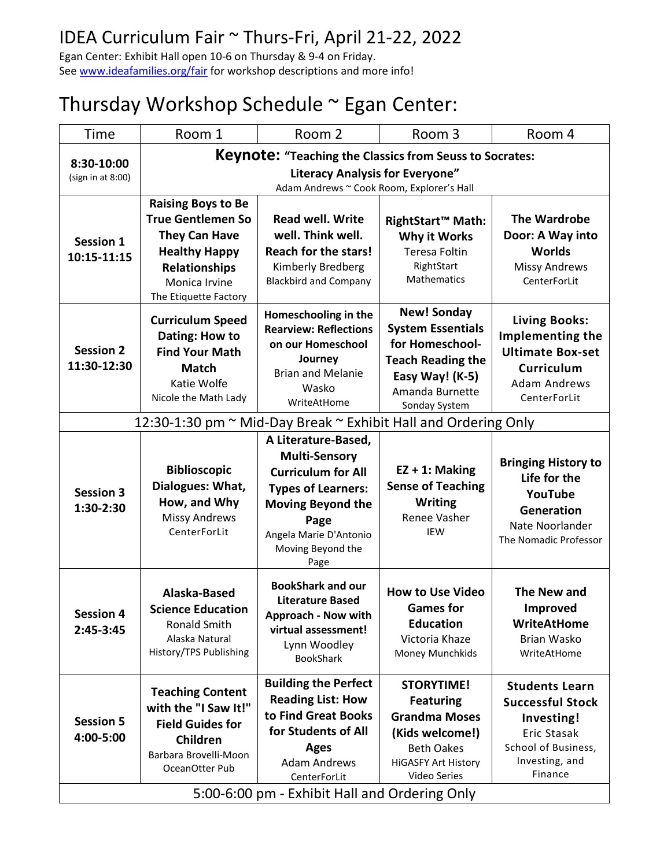## IDEA Curriculum Fair ~ Thurs-Fri, April 21-22, 2022

Egan Center: Exhibit Hall open 10-6 on Thursday & 9-4 on Friday. Se[e www.ideafamilies.org/](http://www.ideafamilies.org/)fair for workshop descriptions and more info!

## Thursday Workshop Schedule ~ Egan Center:

| Time                                                           | Room 1                                                                                                                    | Room 2                                                                                                                                            | Room 3                                                                                                                                               | Room 4                                                                                                                   |  |  |
|----------------------------------------------------------------|---------------------------------------------------------------------------------------------------------------------------|---------------------------------------------------------------------------------------------------------------------------------------------------|------------------------------------------------------------------------------------------------------------------------------------------------------|--------------------------------------------------------------------------------------------------------------------------|--|--|
| 8:30-10:00                                                     | <b>Keynote: "Teaching the Classics from Seuss to Socrates:</b>                                                            |                                                                                                                                                   |                                                                                                                                                      |                                                                                                                          |  |  |
| (sign in at 8:00)                                              | <b>Literacy Analysis for Everyone"</b>                                                                                    |                                                                                                                                                   |                                                                                                                                                      |                                                                                                                          |  |  |
|                                                                | Adam Andrews ~ Cook Room, Explorer's Hall                                                                                 |                                                                                                                                                   |                                                                                                                                                      |                                                                                                                          |  |  |
| <b>Session 1</b><br>10:15-11:15                                | <b>Raising Boys to Be</b><br><b>True Gentlemen So</b>                                                                     | <b>Read well. Write</b>                                                                                                                           | RightStart <sup>™</sup> Math:                                                                                                                        | The Wardrobe                                                                                                             |  |  |
|                                                                | <b>They Can Have</b>                                                                                                      | well. Think well.                                                                                                                                 | Why it Works                                                                                                                                         | Door: A Way into                                                                                                         |  |  |
|                                                                | <b>Healthy Happy</b>                                                                                                      | <b>Reach for the stars!</b>                                                                                                                       | <b>Teresa Foltin</b>                                                                                                                                 | <b>Worlds</b>                                                                                                            |  |  |
|                                                                | <b>Relationships</b>                                                                                                      | Kimberly Bredberg                                                                                                                                 | RightStart<br>Mathematics                                                                                                                            | <b>Missy Andrews</b>                                                                                                     |  |  |
|                                                                | Monica Irvine<br>The Etiquette Factory                                                                                    | <b>Blackbird and Company</b>                                                                                                                      |                                                                                                                                                      | CenterForLit                                                                                                             |  |  |
| <b>Session 2</b><br>11:30-12:30                                | <b>Curriculum Speed</b><br>Dating: How to<br><b>Find Your Math</b><br><b>Match</b><br>Katie Wolfe<br>Nicole the Math Lady | Homeschooling in the<br><b>Rearview: Reflections</b><br>on our Homeschool<br>Journey<br><b>Brian and Melanie</b><br>Wasko<br>WriteAtHome          | <b>New! Sonday</b><br><b>System Essentials</b><br>for Homeschool-<br><b>Teach Reading the</b><br>Easy Way! (K-5)<br>Amanda Burnette<br>Sonday System | <b>Living Books:</b><br>Implementing the<br><b>Ultimate Box-set</b><br>Curriculum<br><b>Adam Andrews</b><br>CenterForLit |  |  |
| 12:30-1:30 pm ~ Mid-Day Break ~ Exhibit Hall and Ordering Only |                                                                                                                           |                                                                                                                                                   |                                                                                                                                                      |                                                                                                                          |  |  |
|                                                                |                                                                                                                           | A Literature-Based,<br><b>Multi-Sensory</b>                                                                                                       |                                                                                                                                                      |                                                                                                                          |  |  |
| <b>Session 3</b><br>1:30-2:30                                  | <b>Biblioscopic</b><br>Dialogues: What,<br>How, and Why<br><b>Missy Andrews</b><br>CenterForLit                           | <b>Curriculum for All</b><br><b>Types of Learners:</b><br><b>Moving Beyond the</b><br>Page<br>Angela Marie D'Antonio<br>Moving Beyond the<br>Page | $EZ + 1$ : Making<br><b>Sense of Teaching</b><br><b>Writing</b><br>Renee Vasher<br><b>IEW</b>                                                        | <b>Bringing History to</b><br>Life for the<br>YouTube<br>Generation<br>Nate Noorlander<br>The Nomadic Professor          |  |  |
| <b>Session 4</b><br>2:45-3:45                                  | Alaska-Based<br><b>Science Education</b><br>Ronald Smith<br>Alaska Natural<br>History/TPS Publishing                      | <b>BookShark and our</b><br><b>Literature Based</b><br>Approach - Now with<br>virtual assessment!<br>Lynn Woodley<br><b>BookShark</b>             | <b>How to Use Video</b><br><b>Games for</b><br><b>Education</b><br>Victoria Khaze<br>Money Munchkids                                                 | The New and<br><b>Improved</b><br><b>WriteAtHome</b><br>Brian Wasko<br>WriteAtHome                                       |  |  |
| <b>Session 5</b><br>4:00-5:00                                  | <b>Teaching Content</b><br>with the "I Saw It!"<br><b>Field Guides for</b><br>Children                                    | <b>Building the Perfect</b><br><b>Reading List: How</b><br>to Find Great Books<br>for Students of All                                             | <b>STORYTIME!</b><br><b>Featuring</b><br><b>Grandma Moses</b><br>(Kids welcome!)                                                                     | <b>Students Learn</b><br><b>Successful Stock</b><br>Investing!<br>Eric Stasak                                            |  |  |
|                                                                | Barbara Brovelli-Moon<br>OceanOtter Pub                                                                                   | <b>Ages</b><br><b>Adam Andrews</b><br>CenterForLit<br>5:00-6:00 pm - Exhibit Hall and Ordering Only                                               | <b>Beth Oakes</b><br><b>HIGASFY Art History</b><br>Video Series                                                                                      | School of Business,<br>Investing, and<br>Finance                                                                         |  |  |